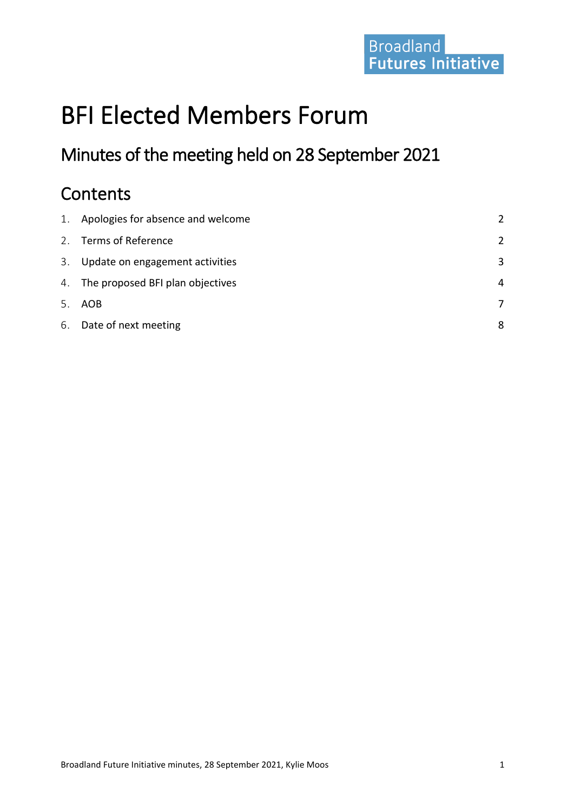# BFI Elected Members Forum

Minutes of the meeting held on 28 September 2021

# **Contents**

| 1. Apologies for absence and welcome | $\mathcal{P}$ |
|--------------------------------------|---------------|
| 2. Terms of Reference                | $\mathcal{P}$ |
| 3. Update on engagement activities   | 3             |
| 4. The proposed BFI plan objectives  | 4             |
| 5. AOB                               | 7             |
| 6. Date of next meeting              | 8             |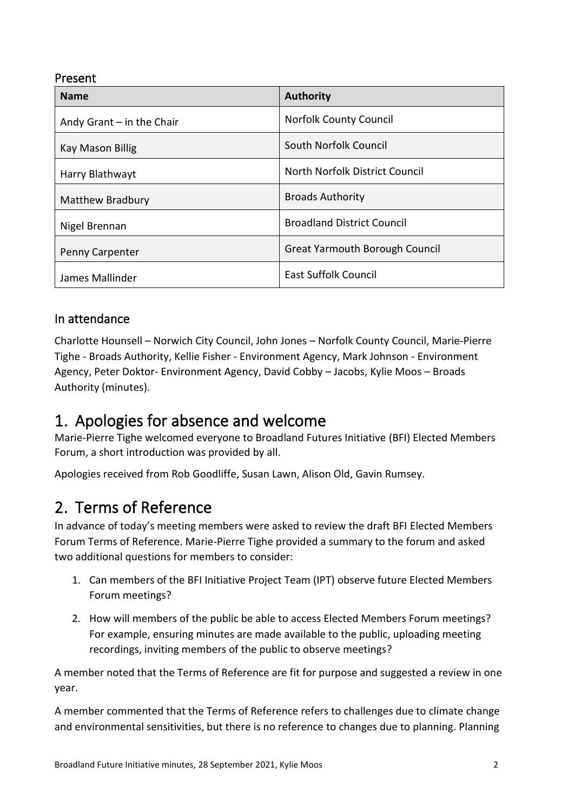### Present

| <b>Name</b>                 | <b>Authority</b>                      |
|-----------------------------|---------------------------------------|
| Andy Grant $-$ in the Chair | <b>Norfolk County Council</b>         |
| Kay Mason Billig            | South Norfolk Council                 |
| Harry Blathwayt             | North Norfolk District Council        |
| <b>Matthew Bradbury</b>     | <b>Broads Authority</b>               |
| Nigel Brennan               | <b>Broadland District Council</b>     |
| <b>Penny Carpenter</b>      | <b>Great Yarmouth Borough Council</b> |
| James Mallinder             | <b>East Suffolk Council</b>           |

### In attendance

Charlotte Hounsell – Norwich City Council, John Jones – Norfolk County Council, Marie-Pierre Tighe - Broads Authority, Kellie Fisher - Environment Agency, Mark Johnson - Environment Agency, Peter Doktor- Environment Agency, David Cobby – Jacobs, Kylie Moos – Broads Authority (minutes).

### <span id="page-1-0"></span>1. Apologies for absence and welcome

Marie-Pierre Tighe welcomed everyone to Broadland Futures Initiative (BFI) Elected Members Forum, a short introduction was provided by all.

Apologies received from Rob Goodliffe, Susan Lawn, Alison Old, Gavin Rumsey.

# <span id="page-1-1"></span>2. Terms of Reference

In advance of today's meeting members were asked to review the draft BFI Elected Members Forum Terms of Reference. Marie-Pierre Tighe provided a summary to the forum and asked two additional questions for members to consider:

- 1. Can members of the BFI Initiative Project Team (IPT) observe future Elected Members Forum meetings?
- 2. How will members of the public be able to access Elected Members Forum meetings? For example, ensuring minutes are made available to the public, uploading meeting recordings, inviting members of the public to observe meetings?

A member noted that the Terms of Reference are fit for purpose and suggested a review in one year.

A member commented that the Terms of Reference refers to challenges due to climate change and environmental sensitivities, but there is no reference to changes due to planning. Planning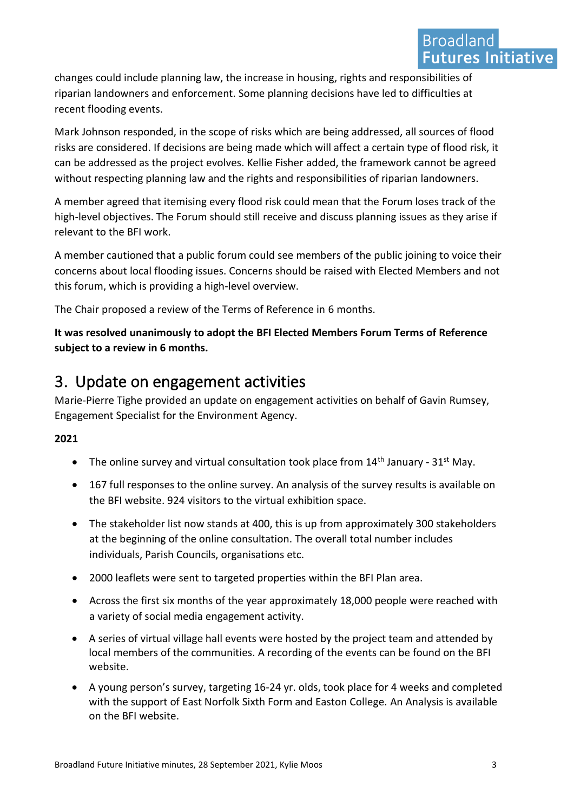changes could include planning law, the increase in housing, rights and responsibilities of riparian landowners and enforcement. Some planning decisions have led to difficulties at recent flooding events.

Mark Johnson responded, in the scope of risks which are being addressed, all sources of flood risks are considered. If decisions are being made which will affect a certain type of flood risk, it can be addressed as the project evolves. Kellie Fisher added, the framework cannot be agreed without respecting planning law and the rights and responsibilities of riparian landowners.

A member agreed that itemising every flood risk could mean that the Forum loses track of the high-level objectives. The Forum should still receive and discuss planning issues as they arise if relevant to the BFI work.

A member cautioned that a public forum could see members of the public joining to voice their concerns about local flooding issues. Concerns should be raised with Elected Members and not this forum, which is providing a high-level overview.

The Chair proposed a review of the Terms of Reference in 6 months.

**It was resolved unanimously to adopt the BFI Elected Members Forum Terms of Reference subject to a review in 6 months.**

### <span id="page-2-0"></span>3. Update on engagement activities

Marie-Pierre Tighe provided an update on engagement activities on behalf of Gavin Rumsey, Engagement Specialist for the Environment Agency.

### **2021**

- The online survey and virtual consultation took place from  $14<sup>th</sup>$  January  $31<sup>st</sup>$  May.
- 167 full responses to the online survey. An analysis of the survey results is available on the BFI website. 924 visitors to the virtual exhibition space.
- The stakeholder list now stands at 400, this is up from approximately 300 stakeholders at the beginning of the online consultation. The overall total number includes individuals, Parish Councils, organisations etc.
- 2000 leaflets were sent to targeted properties within the BFI Plan area.
- Across the first six months of the year approximately 18,000 people were reached with a variety of social media engagement activity.
- A series of virtual village hall events were hosted by the project team and attended by local members of the communities. A recording of the events can be found on the BFI website.
- A young person's survey, targeting 16-24 yr. olds, took place for 4 weeks and completed with the support of East Norfolk Sixth Form and Easton College. An Analysis is available on the BFI website.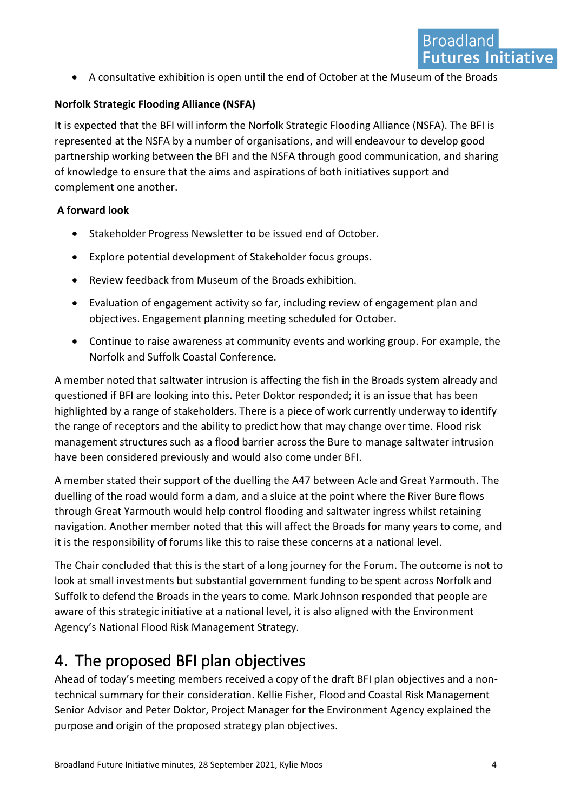• A consultative exhibition is open until the end of October at the Museum of the Broads

### **Norfolk Strategic Flooding Alliance (NSFA)**

It is expected that the BFI will inform the Norfolk Strategic Flooding Alliance (NSFA). The BFI is represented at the NSFA by a number of organisations, and will endeavour to develop good partnership working between the BFI and the NSFA through good communication, and sharing of knowledge to ensure that the aims and aspirations of both initiatives support and complement one another.

### **A forward look**

- Stakeholder Progress Newsletter to be issued end of October.
- Explore potential development of Stakeholder focus groups.
- Review feedback from Museum of the Broads exhibition.
- Evaluation of engagement activity so far, including review of engagement plan and objectives. Engagement planning meeting scheduled for October.
- Continue to raise awareness at community events and working group. For example, the Norfolk and Suffolk Coastal Conference.

A member noted that saltwater intrusion is affecting the fish in the Broads system already and questioned if BFI are looking into this. Peter Doktor responded; it is an issue that has been highlighted by a range of stakeholders. There is a piece of work currently underway to identify the range of receptors and the ability to predict how that may change over time. Flood risk management structures such as a flood barrier across the Bure to manage saltwater intrusion have been considered previously and would also come under BFI.

A member stated their support of the duelling the A47 between Acle and Great Yarmouth. The duelling of the road would form a dam, and a sluice at the point where the River Bure flows through Great Yarmouth would help control flooding and saltwater ingress whilst retaining navigation. Another member noted that this will affect the Broads for many years to come, and it is the responsibility of forums like this to raise these concerns at a national level.

The Chair concluded that this is the start of a long journey for the Forum. The outcome is not to look at small investments but substantial government funding to be spent across Norfolk and Suffolk to defend the Broads in the years to come. Mark Johnson responded that people are aware of this strategic initiative at a national level, it is also aligned with the Environment Agency's National Flood Risk Management Strategy.

# <span id="page-3-0"></span>4. The proposed BFI plan objectives

Ahead of today's meeting members received a copy of the draft BFI plan objectives and a nontechnical summary for their consideration. Kellie Fisher, Flood and Coastal Risk Management Senior Advisor and Peter Doktor, Project Manager for the Environment Agency explained the purpose and origin of the proposed strategy plan objectives.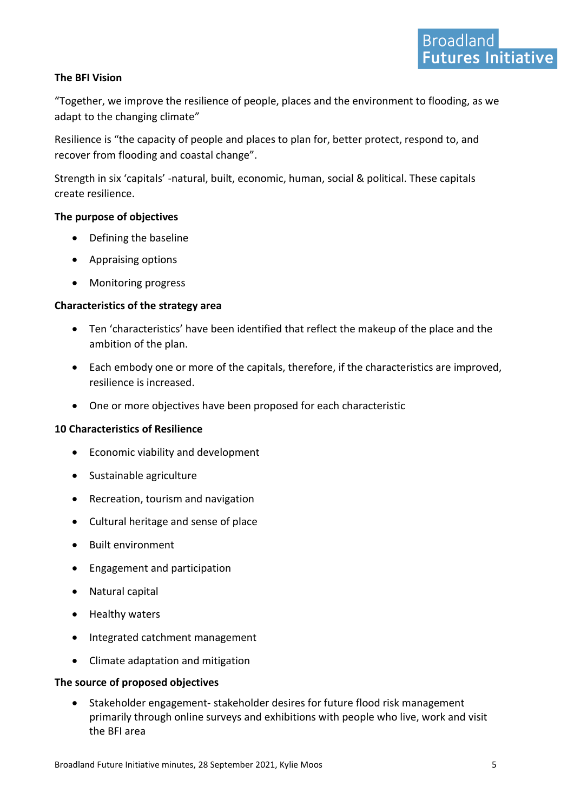#### **The BFI Vision**

"Together, we improve the resilience of people, places and the environment to flooding, as we adapt to the changing climate"

Resilience is "the capacity of people and places to plan for, better protect, respond to, and recover from flooding and coastal change".

Strength in six 'capitals' -natural, built, economic, human, social & political. These capitals create resilience.

#### **The purpose of objectives**

- Defining the baseline
- Appraising options
- Monitoring progress

#### **Characteristics of the strategy area**

- Ten 'characteristics' have been identified that reflect the makeup of the place and the ambition of the plan.
- Each embody one or more of the capitals, therefore, if the characteristics are improved, resilience is increased.
- One or more objectives have been proposed for each characteristic

#### **10 Characteristics of Resilience**

- Economic viability and development
- Sustainable agriculture
- Recreation, tourism and navigation
- Cultural heritage and sense of place
- Built environment
- Engagement and participation
- Natural capital
- Healthy waters
- Integrated catchment management
- Climate adaptation and mitigation

#### **The source of proposed objectives**

• Stakeholder engagement- stakeholder desires for future flood risk management primarily through online surveys and exhibitions with people who live, work and visit the BFI area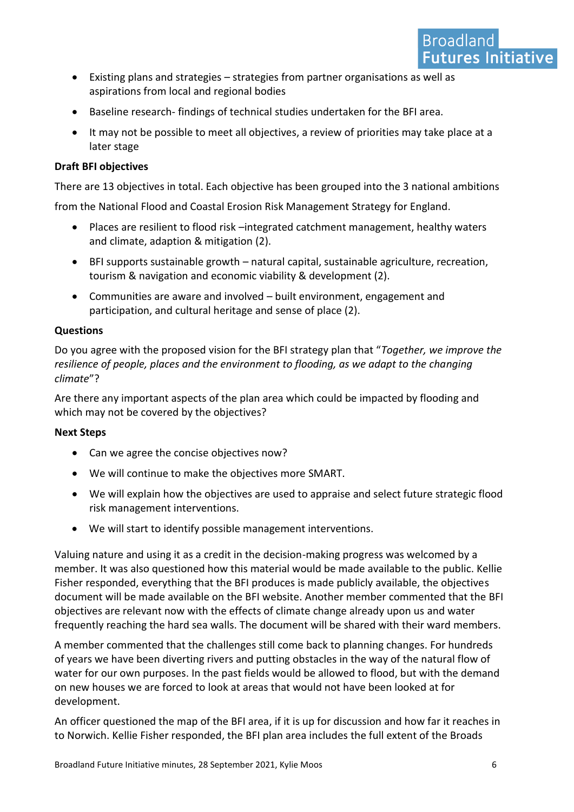- Existing plans and strategies strategies from partner organisations as well as aspirations from local and regional bodies
- Baseline research- findings of technical studies undertaken for the BFI area.
- It may not be possible to meet all objectives, a review of priorities may take place at a later stage

#### **Draft BFI objectives**

There are 13 objectives in total. Each objective has been grouped into the 3 national ambitions

from the National Flood and Coastal Erosion Risk Management Strategy for England.

- Places are resilient to flood risk –integrated catchment management, healthy waters and climate, adaption & mitigation (2).
- BFI supports sustainable growth natural capital, sustainable agriculture, recreation, tourism & navigation and economic viability & development (2).
- Communities are aware and involved built environment, engagement and participation, and cultural heritage and sense of place (2).

#### **Questions**

Do you agree with the proposed vision for the BFI strategy plan that "*Together, we improve the resilience of people, places and the environment to flooding, as we adapt to the changing climate*"?

Are there any important aspects of the plan area which could be impacted by flooding and which may not be covered by the objectives?

#### **Next Steps**

- Can we agree the concise objectives now?
- We will continue to make the objectives more SMART.
- We will explain how the objectives are used to appraise and select future strategic flood risk management interventions.
- We will start to identify possible management interventions.

Valuing nature and using it as a credit in the decision-making progress was welcomed by a member. It was also questioned how this material would be made available to the public. Kellie Fisher responded, everything that the BFI produces is made publicly available, the objectives document will be made available on the BFI website. Another member commented that the BFI objectives are relevant now with the effects of climate change already upon us and water frequently reaching the hard sea walls. The document will be shared with their ward members.

A member commented that the challenges still come back to planning changes. For hundreds of years we have been diverting rivers and putting obstacles in the way of the natural flow of water for our own purposes. In the past fields would be allowed to flood, but with the demand on new houses we are forced to look at areas that would not have been looked at for development.

An officer questioned the map of the BFI area, if it is up for discussion and how far it reaches in to Norwich. Kellie Fisher responded, the BFI plan area includes the full extent of the Broads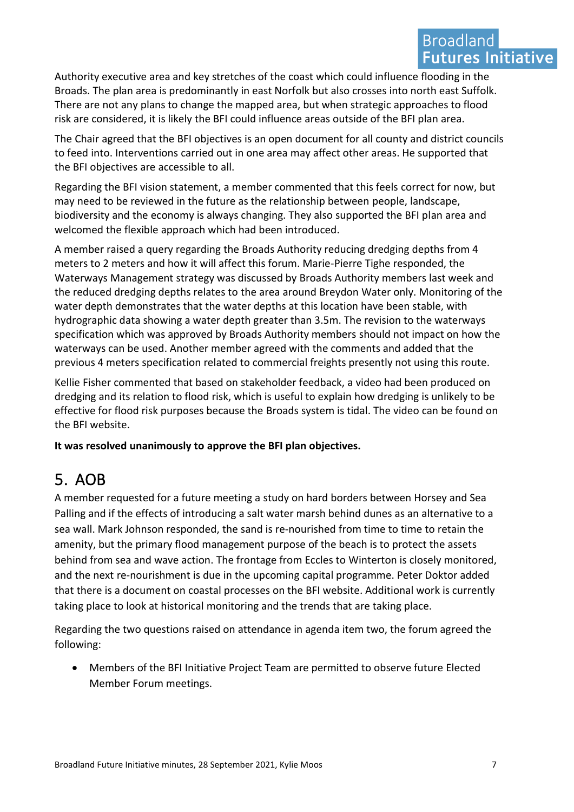### **Broadland Futures Initiative**

Authority executive area and key stretches of the coast which could influence flooding in the Broads. The plan area is predominantly in east Norfolk but also crosses into north east Suffolk. There are not any plans to change the mapped area, but when strategic approaches to flood risk are considered, it is likely the BFI could influence areas outside of the BFI plan area.

The Chair agreed that the BFI objectives is an open document for all county and district councils to feed into. Interventions carried out in one area may affect other areas. He supported that the BFI objectives are accessible to all.

Regarding the BFI vision statement, a member commented that this feels correct for now, but may need to be reviewed in the future as the relationship between people, landscape, biodiversity and the economy is always changing. They also supported the BFI plan area and welcomed the flexible approach which had been introduced.

A member raised a query regarding the Broads Authority reducing dredging depths from 4 meters to 2 meters and how it will affect this forum. Marie-Pierre Tighe responded, the Waterways Management strategy was discussed by Broads Authority members last week and the reduced dredging depths relates to the area around Breydon Water only. Monitoring of the water depth demonstrates that the water depths at this location have been stable, with hydrographic data showing a water depth greater than 3.5m. The revision to the waterways specification which was approved by Broads Authority members should not impact on how the waterways can be used. Another member agreed with the comments and added that the previous 4 meters specification related to commercial freights presently not using this route.

Kellie Fisher commented that based on stakeholder feedback, a video had been produced on dredging and its relation to flood risk, which is useful to explain how dredging is unlikely to be effective for flood risk purposes because the Broads system is tidal. The video can be found on the BFI website.

**It was resolved unanimously to approve the BFI plan objectives.**

# <span id="page-6-0"></span>5. AOB

A member requested for a future meeting a study on hard borders between Horsey and Sea Palling and if the effects of introducing a salt water marsh behind dunes as an alternative to a sea wall. Mark Johnson responded, the sand is re-nourished from time to time to retain the amenity, but the primary flood management purpose of the beach is to protect the assets behind from sea and wave action. The frontage from Eccles to Winterton is closely monitored, and the next re-nourishment is due in the upcoming capital programme. Peter Doktor added that there is a document on coastal processes on the BFI website. Additional work is currently taking place to look at historical monitoring and the trends that are taking place.

Regarding the two questions raised on attendance in agenda item two, the forum agreed the following:

• Members of the BFI Initiative Project Team are permitted to observe future Elected Member Forum meetings.